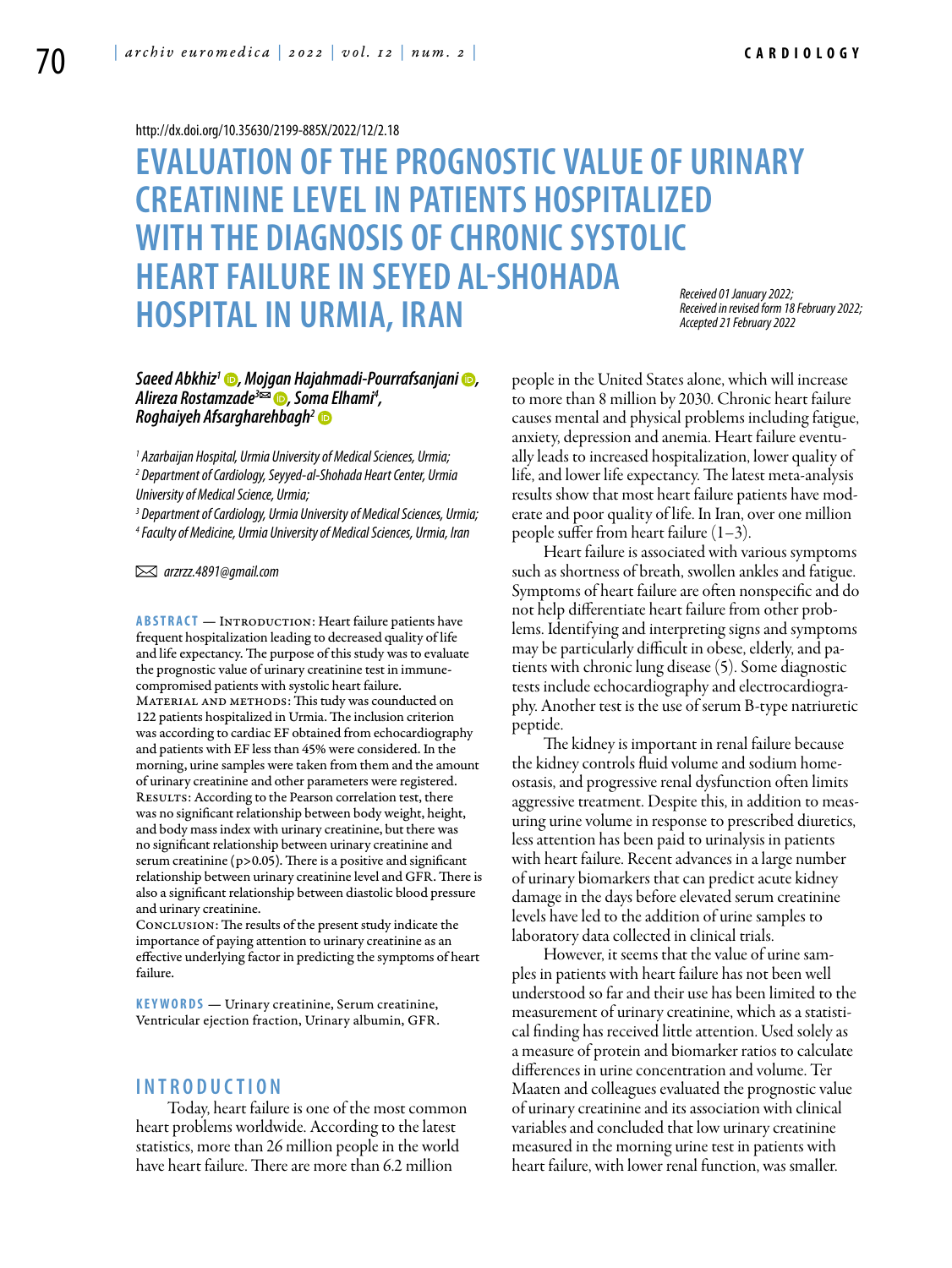#### <http://dx.doi.org/10.35630/2199-885X/2022/12/2.18>

## **Evaluation of the prognostic value of urinary creatinine levelin patients hospitalized WITH THE DIAGNOSIS OF CHRONIC SYSTOLIC heart failure in Seyed Al-Shohada Hospitalin Urmia, Iran** *Received 01 January 2022; Received in revised form 18 February 2022; Accepted 21 February 2022*

## *[Saeed Abkhiz1](https://orcid.org/0000-0002-1592-8421) , [Mojgan Hajahmadi-Pourrafsanjani](https://orcid.org/0000-0002-9099-3442) , [Alireza Rostamzad](https://orcid.org/0000-0002-9223-3885)e3 , Soma Elhami4 , [Roghaiyeh Afsargharehbagh](https://orcid.org/0000-0001-8719-7632)2*

*1 Azarbaijan Hospital, Urmia University of Medical Sciences, Urmia; 2 Department of Cardiology, Seyyed-al-Shohada Heart Center, Urmia University of Medical Science, Urmia;*

*3 Department of Cardiology, Urmia University of Medical Sciences, Urmia; 4 Faculty of Medicine, Urmia University of Medical Sciences, Urmia, Iran* 

 *arzrzz.4891@gmail.com* 

**ABSTRACT** — INTRODUCTION: Heart failure patients have frequent hospitalization leading to decreased quality of life and life expectancy. The purpose of this study was to evaluate the prognostic value of urinary creatinine test in immunecompromised patients with systolic heart failure. MATERIAL AND METHODS: This tudy was counducted on 122 patients hospitalized in Urmia. The inclusion criterion was according to cardiac EF obtained from echocardiography and patients with EF less than 45% were considered. In the morning, urine samples were taken from them and the amount of urinary creatinine and other parameters were registered. RESULTS: According to the Pearson correlation test, there was no significant relationship between body weight, height, and body mass index with urinary creatinine, but there was no significant relationship between urinary creatinine and serum creatinine (p>0.05). There is a positive and significant relationship between urinary creatinine level and GFR. There is also a significant relationship between diastolic blood pressure and urinary creatinine.

Conclusion: The results of the present study indicate the importance of paying attention to urinary creatinine as an effective underlying factor in predicting the symptoms of heart failure.

**K eywords** — Urinary creatinine, Serum creatinine, Ventricular ejection fraction, Urinary albumin, GFR.

## **I n t r o ducti o n**

Today, heart failure is one of the most common heart problems worldwide. According to the latest statistics, more than 26 million people in the world have heart failure. There are more than 6.2 million

people in the United States alone, which will increase to more than 8 million by 2030. Chronic heart failure causes mental and physical problems including fatigue, anxiety, depression and anemia. Heart failure eventually leads to increased hospitalization, lower quality of life, and lower life expectancy. The latest meta-analysis results show that most heart failure patients have moderate and poor quality of life. In Iran, over one million people suffer from heart failure  $(1-3)$ .

Heart failure is associated with various symptoms such as shortness of breath, swollen ankles and fatigue. Symptoms of heart failure are often nonspecific and do not help differentiate heart failure from other problems. Identifying and interpreting signs and symptoms may be particularly difficult in obese, elderly, and patients with chronic lung disease (5). Some diagnostic tests include echocardiography and electrocardiography. Another test is the use of serum B-type natriuretic peptide.

The kidney is important in renal failure because the kidney controls fluid volume and sodium homeostasis, and progressive renal dysfunction often limits aggressive treatment. Despite this, in addition to measuring urine volume in response to prescribed diuretics, less attention has been paid to urinalysis in patients with heart failure. Recent advances in a large number of urinary biomarkers that can predict acute kidney damage in the days before elevated serum creatinine levels have led to the addition of urine samples to laboratory data collected in clinical trials.

However, it seems that the value of urine samples in patients with heart failure has not been well understood so far and their use has been limited to the measurement of urinary creatinine, which as a statistical finding has received little attention. Used solely as a measure of protein and biomarker ratios to calculate differences in urine concentration and volume. Ter Maaten and colleagues evaluated the prognostic value of urinary creatinine and its association with clinical variables and concluded that low urinary creatinine measured in the morning urine test in patients with heart failure, with lower renal function, was smaller.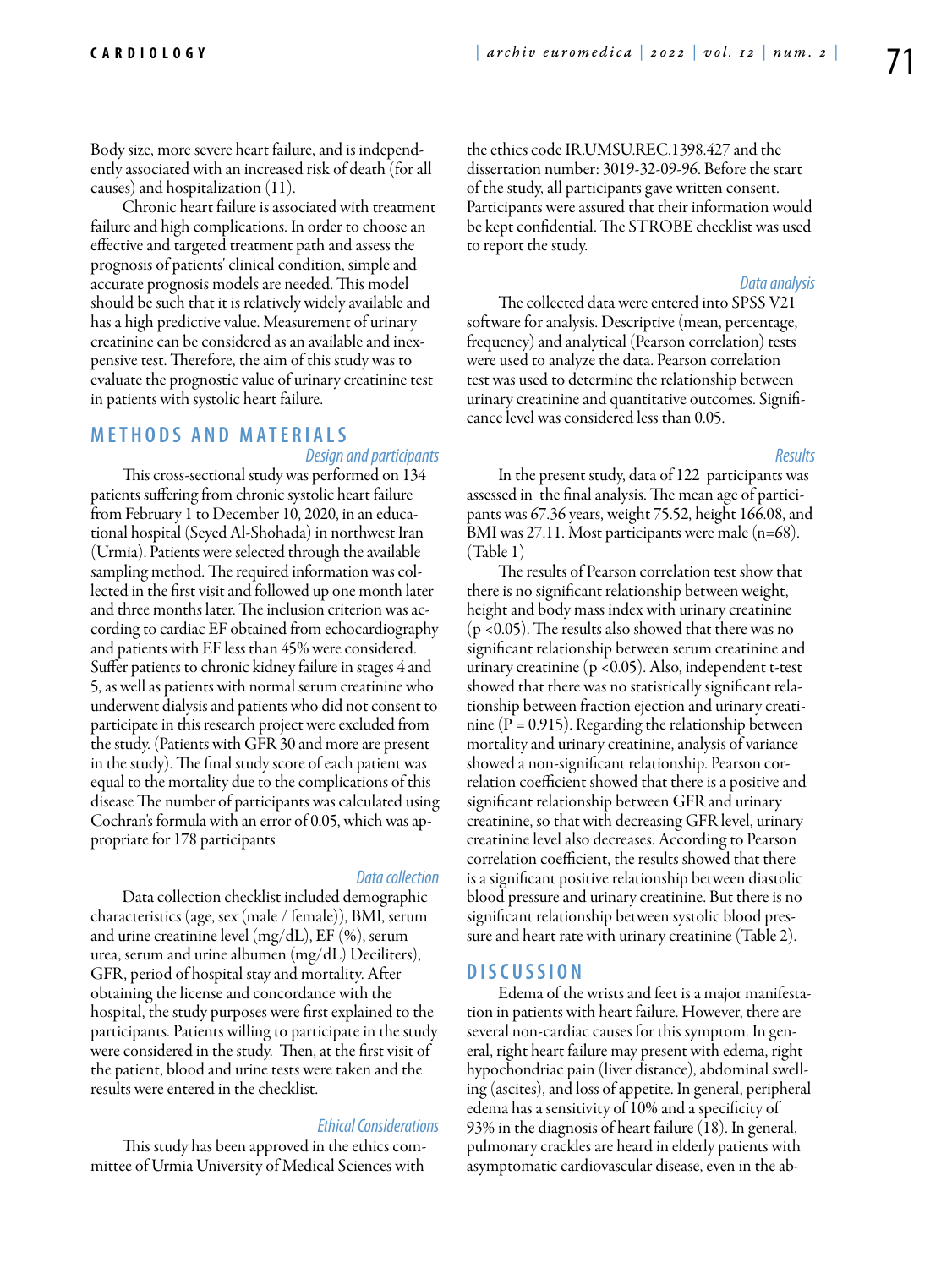Body size, more severe heart failure, and is independently associated with an increased risk of death (for all causes) and hospitalization (11).

Chronic heart failure is associated with treatment failure and high complications. In order to choose an effective and targeted treatment path and assess the prognosis of patients' clinical condition, simple and accurate prognosis models are needed. This model should be such that it is relatively widely available and has a high predictive value. Measurement of urinary creatinine can be considered as an available and inexpensive test. Therefore, the aim of this study was to evaluate the prognostic value of urinary creatinine test in patients with systolic heart failure.

### **M e t h o d s a n d Mat e rials**  *Design and participants*

This cross-sectional study was performed on 134 patients suffering from chronic systolic heart failure from February 1 to December 10, 2020, in an educational hospital (Seyed Al-Shohada) in northwest Iran (Urmia). Patients were selected through the available sampling method. The required information was collected in the first visit and followed up one month later and three months later. The inclusion criterion was according to cardiac EF obtained from echocardiography and patients with EF less than 45% were considered. Suffer patients to chronic kidney failure in stages 4 and 5, as well as patients with normal serum creatinine who underwent dialysis and patients who did not consent to participate in this research project were excluded from the study. (Patients with GFR 30 and more are present in the study). The final study score of each patient was equal to the mortality due to the complications of this disease The number of participants was calculated using Cochran's formula with an error of 0.05, which was appropriate for 178 participants

#### *Data collection*

Data collection checklist included demographic characteristics (age, sex (male / female)), BMI, serum and urine creatinine level (mg/dL), EF (%), serum urea, serum and urine albumen (mg/dL) Deciliters), GFR, period of hospital stay and mortality. After obtaining the license and concordance with the hospital, the study purposes were first explained to the participants. Patients willing to participate in the study were considered in the study. Then, at the first visit of the patient, blood and urine tests were taken and the results were entered in the checklist.

#### *Ethical Considerations*

This study has been approved in the ethics committee of Urmia University of Medical Sciences with

the ethics code IR.UMSU.REC.1398.427 and the dissertation number: 3019-32-09-96. Before the start of the study, all participants gave written consent. Participants were assured that their information would be kept confidential. The STROBE checklist was used to report the study.

#### *Data analysis*

The collected data were entered into SPSS V21 software for analysis. Descriptive (mean, percentage, frequency) and analytical (Pearson correlation) tests were used to analyze the data. Pearson correlation test was used to determine the relationship between urinary creatinine and quantitative outcomes. Significance level was considered less than 0.05.

#### *Results*

In the present study, data of 122 participants was assessed in the final analysis. The mean age of participants was 67.36 years, weight 75.52, height 166.08, and BMI was 27.11. Most participants were male (n=68). (Table 1)

The results of Pearson correlation test show that there is no significant relationship between weight, height and body mass index with urinary creatinine (p <0.05). The results also showed that there was no significant relationship between serum creatinine and urinary creatinine (p <0.05). Also, independent t-test showed that there was no statistically significant relationship between fraction ejection and urinary creatinine ( $P = 0.915$ ). Regarding the relationship between mortality and urinary creatinine, analysis of variance showed a non-significant relationship. Pearson correlation coefficient showed that there is a positive and significant relationship between GFR and urinary creatinine, so that with decreasing GFR level, urinary creatinine level also decreases. According to Pearson correlation coefficient, the results showed that there is a significant positive relationship between diastolic blood pressure and urinary creatinine. But there is no significant relationship between systolic blood pressure and heart rate with urinary creatinine (Table 2).

## **D iscu s si o n**

Edema of the wrists and feet is a major manifestation in patients with heart failure. However, there are several non-cardiac causes for this symptom. In general, right heart failure may present with edema, right hypochondriac pain (liver distance), abdominal swelling (ascites), and loss of appetite. In general, peripheral edema has a sensitivity of 10% and a specificity of 93% in the diagnosis of heart failure (18). In general, pulmonary crackles are heard in elderly patients with asymptomatic cardiovascular disease, even in the ab-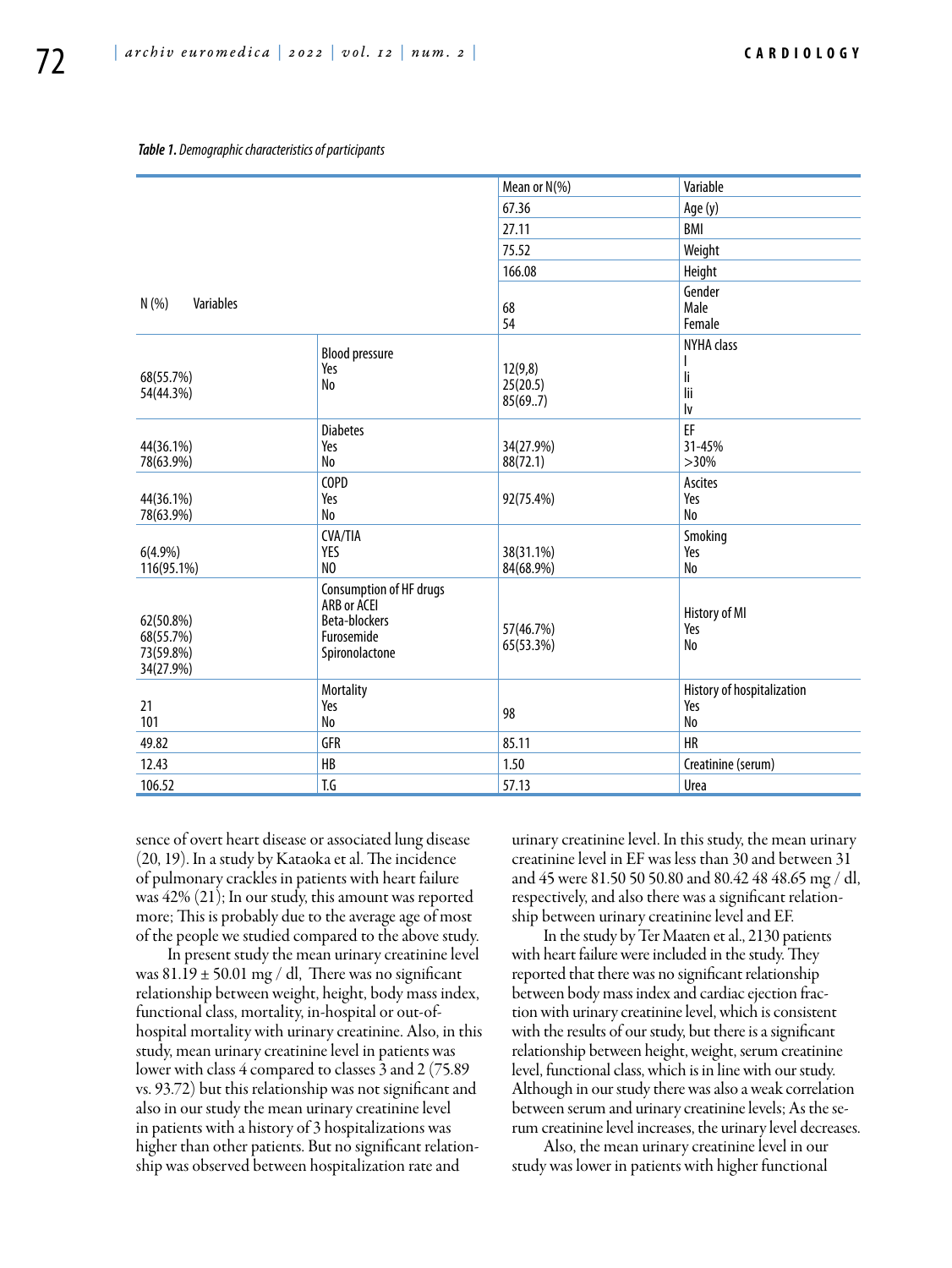#### *Table 1. Demographic characteristics of participants*

|                                                  |                                                                                         | Mean or N(%)                   | Variable                                |
|--------------------------------------------------|-----------------------------------------------------------------------------------------|--------------------------------|-----------------------------------------|
|                                                  |                                                                                         | 67.36                          | Age (y)                                 |
|                                                  |                                                                                         | 27.11                          | <b>BMI</b>                              |
|                                                  |                                                                                         | 75.52                          | Weight                                  |
|                                                  |                                                                                         | 166.08                         | Height                                  |
| Variables<br>N(% )                               |                                                                                         | 68<br>54                       | Gender<br>Male<br>Female                |
| 68(55.7%)<br>54(44.3%)                           | <b>Blood pressure</b><br>Yes<br>No                                                      | 12(9,8)<br>25(20.5)<br>85(697) | <b>NYHA</b> class<br>li<br>lii<br>lv    |
| 44(36.1%)<br>78(63.9%)                           | <b>Diabetes</b><br>Yes<br>No                                                            | 34(27.9%)<br>88(72.1)          | EF<br>31-45%<br>$>30\%$                 |
| 44(36.1%)<br>78(63.9%)                           | COPD<br>Yes<br>No                                                                       | 92(75.4%)                      | Ascites<br>Yes<br>No                    |
| $6(4.9\%)$<br>116(95.1%)                         | <b>CVA/TIA</b><br>YES<br>NO                                                             | 38(31.1%)<br>84(68.9%)         | Smoking<br>Yes<br>No                    |
| 62(50.8%)<br>68(55.7%)<br>73(59.8%)<br>34(27.9%) | Consumption of HF drugs<br>ARB or ACEI<br>Beta-blockers<br>Furosemide<br>Spironolactone | 57(46.7%)<br>65(53.3%)         | History of MI<br>Yes<br>No              |
| 21<br>101                                        | Mortality<br>Yes<br>No                                                                  | 98                             | History of hospitalization<br>Yes<br>No |
| 49.82                                            | <b>GFR</b>                                                                              | 85.11                          | <b>HR</b>                               |
| 12.43                                            | HB                                                                                      | 1.50                           | Creatinine (serum)                      |
| 106.52                                           | T.G                                                                                     | 57.13                          | Urea                                    |

sence of overt heart disease or associated lung disease (20, 19). In a study by Kataoka et al. The incidence of pulmonary crackles in patients with heart failure was 42% (21); In our study, this amount was reported more; This is probably due to the average age of most of the people we studied compared to the above study.

In present study the mean urinary creatinine level was  $81.19 \pm 50.01$  mg / dl, There was no significant relationship between weight, height, body mass index, functional class, mortality, in-hospital or out-ofhospital mortality with urinary creatinine. Also, in this study, mean urinary creatinine level in patients was lower with class 4 compared to classes 3 and 2 (75.89 vs. 93.72) but this relationship was not significant and also in our study the mean urinary creatinine level in patients with a history of 3 hospitalizations was higher than other patients. But no significant relationship was observed between hospitalization rate and

urinary creatinine level. In this study, the mean urinary creatinine level in EF was less than 30 and between 31 and 45 were 81.50 50 50.80 and 80.42 48 48.65 mg / dl, respectively, and also there was a significant relationship between urinary creatinine level and EF.

In the study by Ter Maaten et al., 2130 patients with heart failure were included in the study. They reported that there was no significant relationship between body mass index and cardiac ejection fraction with urinary creatinine level, which is consistent with the results of our study, but there is a significant relationship between height, weight, serum creatinine level, functional class, which is in line with our study. Although in our study there was also a weak correlation between serum and urinary creatinine levels; As the serum creatinine level increases, the urinary level decreases.

Also, the mean urinary creatinine level in our study was lower in patients with higher functional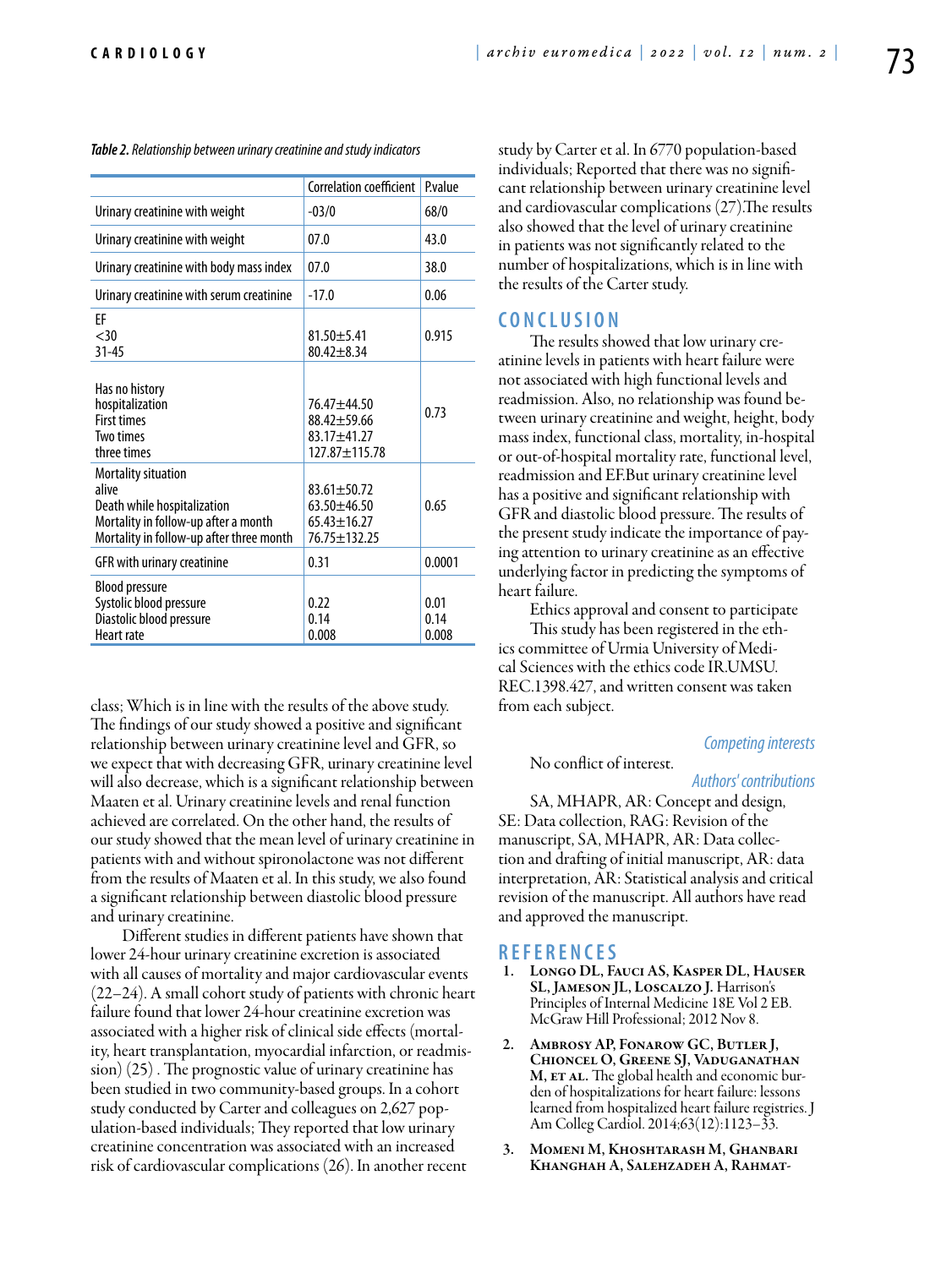|                                                                                                                                                 | Correlation coefficient                                                   | Pvalue                |
|-------------------------------------------------------------------------------------------------------------------------------------------------|---------------------------------------------------------------------------|-----------------------|
| Urinary creatinine with weight                                                                                                                  | $-03/0$                                                                   | 68/0                  |
| Urinary creatinine with weight                                                                                                                  | 07.0                                                                      | 43.0                  |
| Urinary creatinine with body mass index                                                                                                         | 07.0                                                                      | 38.0                  |
| Urinary creatinine with serum creatinine                                                                                                        | $-17.0$                                                                   | 0.06                  |
| FF<br>$<$ 30<br>$31 - 45$                                                                                                                       | $81.50 + 5.41$<br>$80.42 + 8.34$                                          | 0.915                 |
| Has no history<br>hospitalization<br><b>First times</b><br>Two times<br>three times                                                             | $76.47 + 44.50$<br>88.42±59.66<br>$83.17 + 41.27$<br>$127.87 + 115.78$    | 0.73                  |
| Mortality situation<br>alive<br>Death while hospitalization<br>Mortality in follow-up after a month<br>Mortality in follow-up after three month | $83.61 \pm 50.72$<br>$63.50 + 46.50$<br>$65.43 \pm 16.27$<br>76.75±132.25 | 0.65                  |
| GFR with urinary creatinine                                                                                                                     | 0.31                                                                      | 0.0001                |
| <b>Blood pressure</b><br>Systolic blood pressure<br>Diastolic blood pressure<br><b>Heart rate</b>                                               | 0.22<br>0.14<br>0.008                                                     | 0.01<br>0.14<br>0.008 |

*Table 2. Relationship between urinary creatinine and study indicators*

class; Which is in line with the results of the above study. The findings of our study showed a positive and significant relationship between urinary creatinine level and GFR, so we expect that with decreasing GFR, urinary creatinine level will also decrease, which is a significant relationship between Maaten et al. Urinary creatinine levels and renal function achieved are correlated. On the other hand, the results of our study showed that the mean level of urinary creatinine in patients with and without spironolactone was not different from the results of Maaten et al. In this study, we also found a significant relationship between diastolic blood pressure and urinary creatinine.

Different studies in different patients have shown that lower 24-hour urinary creatinine excretion is associated with all causes of mortality and major cardiovascular events (22–24). A small cohort study of patients with chronic heart failure found that lower 24-hour creatinine excretion was associated with a higher risk of clinical side effects (mortality, heart transplantation, myocardial infarction, or readmission) (25) . The prognostic value of urinary creatinine has been studied in two community-based groups. In a cohort study conducted by Carter and colleagues on 2,627 population-based individuals; They reported that low urinary creatinine concentration was associated with an increased risk of cardiovascular complications (26). In another recent

study by Carter et al. In 6770 population-based individuals; Reported that there was no significant relationship between urinary creatinine level and cardiovascular complications (27).The results also showed that the level of urinary creatinine in patients was not significantly related to the number of hospitalizations, which is in line with the results of the Carter study.

## **C o n clu si o n**

The results showed that low urinary creatinine levels in patients with heart failure were not associated with high functional levels and readmission. Also, no relationship was found between urinary creatinine and weight, height, body mass index, functional class, mortality, in-hospital or out-of-hospital mortality rate, functional level, readmission and EF.But urinary creatinine level has a positive and significant relationship with GFR and diastolic blood pressure. The results of the present study indicate the importance of paying attention to urinary creatinine as an effective underlying factor in predicting the symptoms of heart failure.

Ethics approval and consent to participate

This study has been registered in the ethics committee of Urmia University of Medical Sciences with the ethics code IR.UMSU. REC.1398.427, and written consent was taken from each subject.

#### *Competing interests*

#### No conflict of interest.

#### *Authors' contributions*

SA, MHAPR, AR: Concept and design, SE: Data collection, RAG: Revision of the manuscript, SA, MHAPR, AR: Data collection and drafting of initial manuscript, AR: data interpretation, AR: Statistical analysis and critical revision of the manuscript. All authors have read and approved the manuscript.

# **R efe r e n ce s**

- Longo DL, Fauci AS, Kasper DL, Hauser SL, Jameson JL, Loscalzo J. Harrison's Principles of Internal Medicine 18E Vol 2 EB. McGraw Hill Professional; 2012 Nov 8.
- 2. Ambrosy AP, Fonarow GC, Butler J, Chioncel O, Greene SJ, Vaduganathan M, ET AL. The global health and economic burden of hospitalizations for heart failure: lessons learned from hospitalized heart failure registries. J Am Colleg Cardiol. 2014;63(12):1123–33.
- 3. Momeni M, Khoshtarash M, Ghanbari Khanghah A, Salehzadeh A, Rahmat-